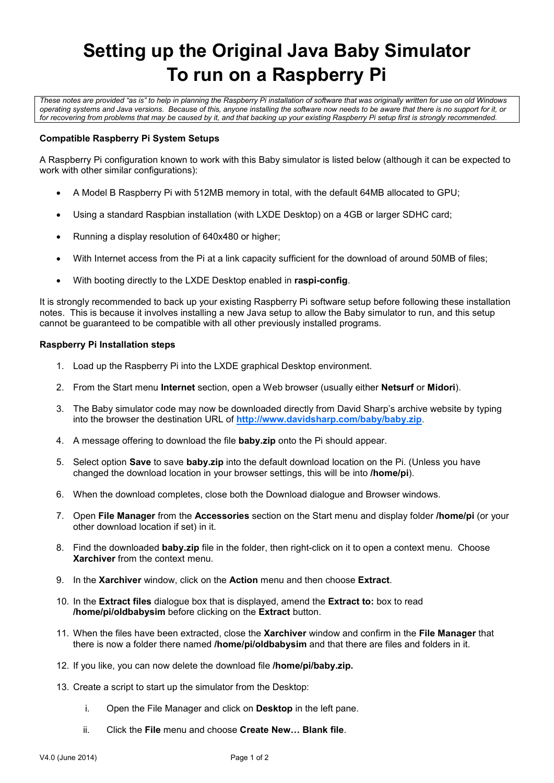# **Setting up the Original Java Baby Simulator To run on a Raspberry Pi**

*These notes are provided "as is" to help in planning the Raspberry Pi installation of software that was originally written for use on old Windows operating systems and Java versions. Because of this, anyone installing the software now needs to be aware that there is no support for it, or for recovering from problems that may be caused by it, and that backing up your existing Raspberry Pi setup first is strongly recommended.*

## **Compatible Raspberry Pi System Setups**

A Raspberry Pi configuration known to work with this Baby simulator is listed below (although it can be expected to work with other similar configurations):

- A Model B Raspberry Pi with 512MB memory in total, with the default 64MB allocated to GPU;
- Using a standard Raspbian installation (with LXDE Desktop) on a 4GB or larger SDHC card;
- Running a display resolution of 640x480 or higher;
- With Internet access from the Pi at a link capacity sufficient for the download of around 50MB of files;
- With booting directly to the LXDE Desktop enabled in **raspi-config**.

It is strongly recommended to back up your existing Raspberry Pi software setup before following these installation notes. This is because it involves installing a new Java setup to allow the Baby simulator to run, and this setup cannot be guaranteed to be compatible with all other previously installed programs.

### **Raspberry Pi Installation steps**

- 1. Load up the Raspberry Pi into the LXDE graphical Desktop environment.
- 2. From the Start menu **Internet** section, open a Web browser (usually either **Netsurf** or **Midori**).
- 3. The Baby simulator code may now be downloaded directly from David Sharp's archive website by typing into the browser the destination URL of **<http://www.davidsharp.com/baby/baby.zip>**.
- 4. A message offering to download the file **baby.zip** onto the Pi should appear.
- 5. Select option **Save** to save **baby.zip** into the default download location on the Pi. (Unless you have changed the download location in your browser settings, this will be into **/home/pi**).
- 6. When the download completes, close both the Download dialogue and Browser windows.
- 7. Open **File Manager** from the **Accessories** section on the Start menu and display folder **/home/pi** (or your other download location if set) in it.
- 8. Find the downloaded **baby.zip** file in the folder, then right-click on it to open a context menu. Choose **Xarchiver** from the context menu.
- 9. In the **Xarchiver** window, click on the **Action** menu and then choose **Extract**.
- 10. In the **Extract files** dialogue box that is displayed, amend the **Extract to:** box to read **/home/pi/oldbabysim** before clicking on the **Extract** button.
- 11. When the files have been extracted, close the **Xarchiver** window and confirm in the **File Manager** that there is now a folder there named **/home/pi/oldbabysim** and that there are files and folders in it.
- 12. If you like, you can now delete the download file **/home/pi/baby.zip.**
- 13. Create a script to start up the simulator from the Desktop:
	- i. Open the File Manager and click on **Desktop** in the left pane.
	- ii. Click the **File** menu and choose **Create New… Blank file**.